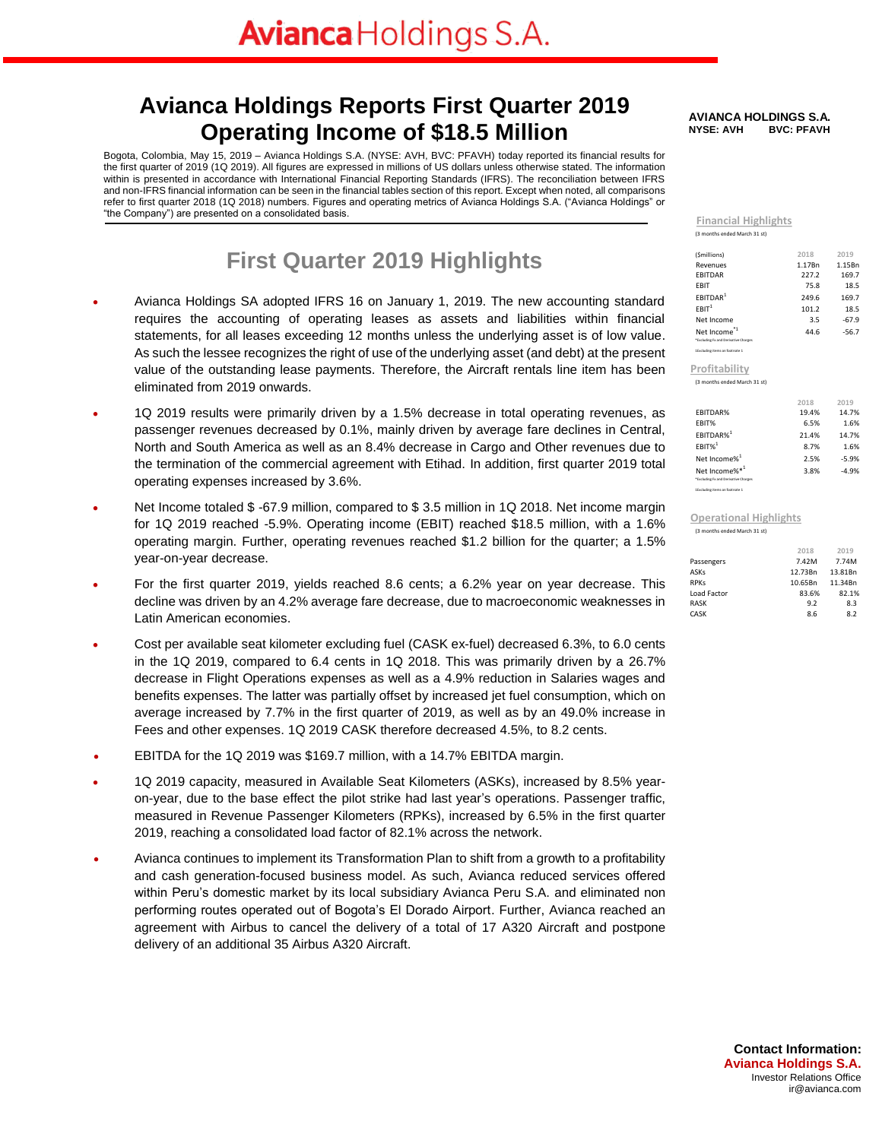### **Avianca Holdings Reports First Quarter 2019 Operating Income of \$18.5 Million**

Bogota, Colombia, May 15, 2019 – Avianca Holdings S.A. (NYSE: AVH, BVC: PFAVH) today reported its financial results for the first quarter of 2019 (1Q 2019). All figures are expressed in millions of US dollars unless otherwise stated. The information within is presented in accordance with International Financial Reporting Standards (IFRS). The reconciliation between IFRS and non-IFRS financial information can be seen in the financial tables section of this report. Except when noted, all comparisons refer to first quarter 2018 (1Q 2018) numbers. Figures and operating metrics of Avianca Holdings S.A. ("Avianca Holdings" or "the Company") are presented on a consolidated basis.

### **First Quarter 2019 Highlights**

- Avianca Holdings SA adopted IFRS 16 on January 1, 2019. The new accounting standard requires the accounting of operating leases as assets and liabilities within financial statements, for all leases exceeding 12 months unless the underlying asset is of low value. As such the lessee recognizes the right of use of the underlying asset (and debt) at the present value of the outstanding lease payments. Therefore, the Aircraft rentals line item has been eliminated from 2019 onwards.
- 1Q 2019 results were primarily driven by a 1.5% decrease in total operating revenues, as passenger revenues decreased by 0.1%, mainly driven by average fare declines in Central, North and South America as well as an 8.4% decrease in Cargo and Other revenues due to the termination of the commercial agreement with Etihad. In addition, first quarter 2019 total operating expenses increased by 3.6%.
- Net Income totaled \$ -67.9 million, compared to \$ 3.5 million in 1Q 2018. Net income margin for 1Q 2019 reached -5.9%. Operating income (EBIT) reached \$18.5 million, with a 1.6% operating margin. Further, operating revenues reached \$1.2 billion for the quarter; a 1.5% year-on-year decrease.
- For the first quarter 2019, yields reached 8.6 cents; a 6.2% year on year decrease. This decline was driven by an 4.2% average fare decrease, due to macroeconomic weaknesses in Latin American economies.
- Cost per available seat kilometer excluding fuel (CASK ex-fuel) decreased 6.3%, to 6.0 cents in the 1Q 2019, compared to 6.4 cents in 1Q 2018. This was primarily driven by a 26.7% decrease in Flight Operations expenses as well as a 4.9% reduction in Salaries wages and benefits expenses. The latter was partially offset by increased jet fuel consumption, which on average increased by 7.7% in the first quarter of 2019, as well as by an 49.0% increase in Fees and other expenses. 1Q 2019 CASK therefore decreased 4.5%, to 8.2 cents.
- EBITDA for the 1Q 2019 was \$169.7 million, with a 14.7% EBITDA margin.
- 1Q 2019 capacity, measured in Available Seat Kilometers (ASKs), increased by 8.5% yearon-year, due to the base effect the pilot strike had last year's operations. Passenger traffic, measured in Revenue Passenger Kilometers (RPKs), increased by 6.5% in the first quarter 2019, reaching a consolidated load factor of 82.1% across the network.
- Avianca continues to implement its Transformation Plan to shift from a growth to a profitability and cash generation-focused business model. As such, Avianca reduced services offered within Peru's domestic market by its local subsidiary Avianca Peru S.A. and eliminated non performing routes operated out of Bogota's El Dorado Airport. Further, Avianca reached an agreement with Airbus to cancel the delivery of a total of 17 A320 Aircraft and postpone delivery of an additional 35 Airbus A320 Aircraft.

#### **AVIANCA HOLDINGS S.A. NYSE: AVH**

**Financial Highlights** (3 months ended March 31 st)

| (Smillions)                                                      | 2018   | 2019    |
|------------------------------------------------------------------|--------|---------|
| Revenues                                                         | 1.17Bn | 1.15Bn  |
| <b>EBITDAR</b>                                                   | 227.2  | 169.7   |
| <b>FBIT</b>                                                      | 75.8   | 18.5    |
| FBITDAR <sup>1</sup>                                             | 249.6  | 169.7   |
| $F$ BIT $1$                                                      | 101.2  | 18.5    |
| Net Income                                                       | 3.5    | $-67.9$ |
| Net Income <sup>*1</sup><br>*Excluding Fx and Derivative Charges | 44.6   | $-56.7$ |
|                                                                  |        |         |

1Excluding items on footnote 1 (3 months ended March 31 st) **Profitability**

|                                      | 2018  | 2019    |
|--------------------------------------|-------|---------|
| <b>FBITDAR%</b>                      | 19.4% | 14.7%   |
| FBIT%                                | 6.5%  | 1.6%    |
| FBITDAR% <sup>1</sup>                | 21.4% | 14.7%   |
| $FBIT%$ <sup>1</sup>                 | 8.7%  | 1.6%    |
| Net Income% <sup>1</sup>             | 2.5%  | $-5.9%$ |
| Net Income%*1                        | 3.8%  | $-4.9%$ |
| *Excluding Fx and Derivative Charges |       |         |

#### **Operational Highlights**

(3 months ended March 31 st)

1Excluding items on footnote 1

|             | 2018    | 2019    |
|-------------|---------|---------|
| Passengers  | 7.42M   | 7.74M   |
| ASKs        | 12.73Bn | 13.81Bn |
| <b>RPKs</b> | 10.65Bn | 11.34Bn |
| Load Factor | 83.6%   | 82.1%   |
| <b>RASK</b> | 9.2     | 8.3     |
| CASK        | 8.6     | 8.2     |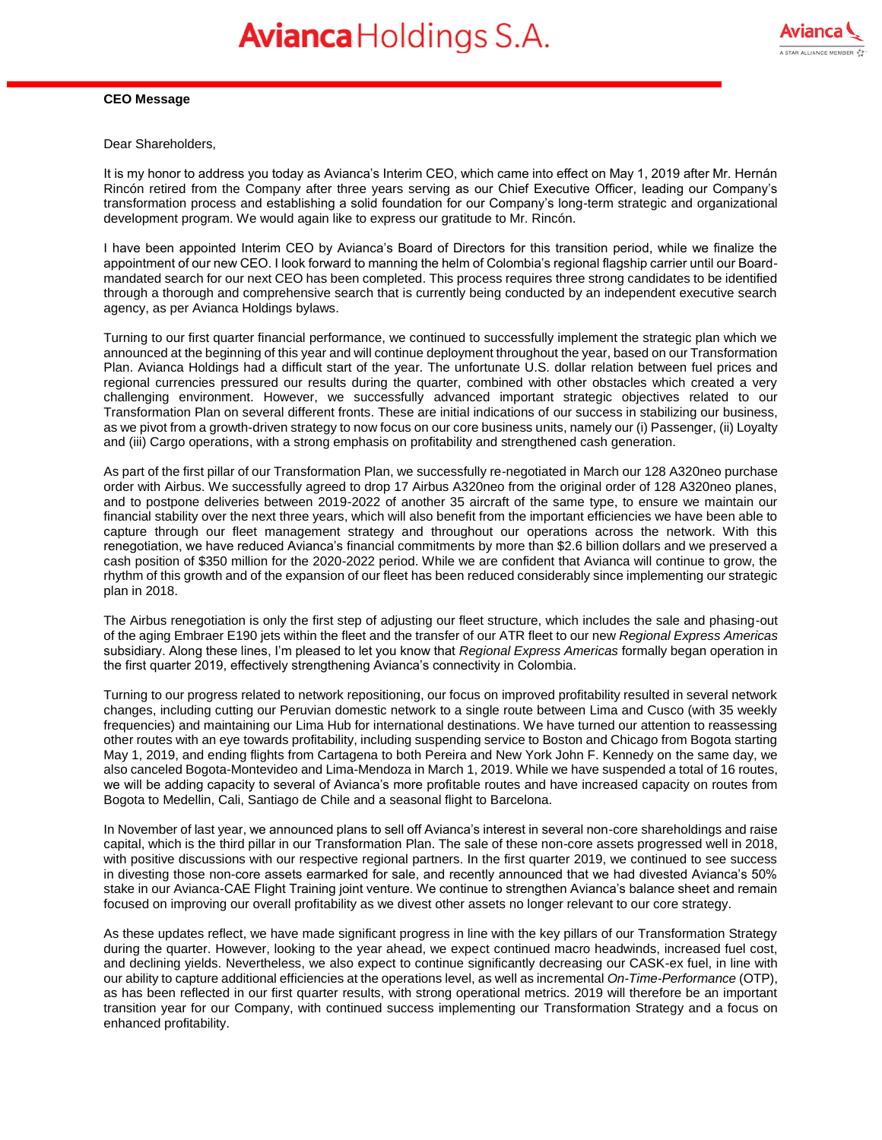

#### **CEO Message**

Dear Shareholders,

It is my honor to address you today as Avianca's Interim CEO, which came into effect on May 1, 2019 after Mr. Hernán Rincón retired from the Company after three years serving as our Chief Executive Officer, leading our Company's transformation process and establishing a solid foundation for our Company's long-term strategic and organizational development program. We would again like to express our gratitude to Mr. Rincón.

I have been appointed Interim CEO by Avianca's Board of Directors for this transition period, while we finalize the appointment of our new CEO. I look forward to manning the helm of Colombia's regional flagship carrier until our Boardmandated search for our next CEO has been completed. This process requires three strong candidates to be identified through a thorough and comprehensive search that is currently being conducted by an independent executive search agency, as per Avianca Holdings bylaws.

Turning to our first quarter financial performance, we continued to successfully implement the strategic plan which we announced at the beginning of this year and will continue deployment throughout the year, based on our Transformation Plan. Avianca Holdings had a difficult start of the year. The unfortunate U.S. dollar relation between fuel prices and regional currencies pressured our results during the quarter, combined with other obstacles which created a very challenging environment. However, we successfully advanced important strategic objectives related to our Transformation Plan on several different fronts. These are initial indications of our success in stabilizing our business, as we pivot from a growth-driven strategy to now focus on our core business units, namely our (i) Passenger, (ii) Loyalty and (iii) Cargo operations, with a strong emphasis on profitability and strengthened cash generation.

As part of the first pillar of our Transformation Plan, we successfully re-negotiated in March our 128 A320neo purchase order with Airbus. We successfully agreed to drop 17 Airbus A320neo from the original order of 128 A320neo planes, and to postpone deliveries between 2019-2022 of another 35 aircraft of the same type, to ensure we maintain our financial stability over the next three years, which will also benefit from the important efficiencies we have been able to capture through our fleet management strategy and throughout our operations across the network. With this renegotiation, we have reduced Avianca's financial commitments by more than \$2.6 billion dollars and we preserved a cash position of \$350 million for the 2020-2022 period. While we are confident that Avianca will continue to grow, the rhythm of this growth and of the expansion of our fleet has been reduced considerably since implementing our strategic plan in 2018.

The Airbus renegotiation is only the first step of adjusting our fleet structure, which includes the sale and phasing-out of the aging Embraer E190 jets within the fleet and the transfer of our ATR fleet to our new *Regional Express Americas*  subsidiary. Along these lines, I'm pleased to let you know that *Regional Express Americas* formally began operation in the first quarter 2019, effectively strengthening Avianca's connectivity in Colombia.

Turning to our progress related to network repositioning, our focus on improved profitability resulted in several network changes, including cutting our Peruvian domestic network to a single route between Lima and Cusco (with 35 weekly frequencies) and maintaining our Lima Hub for international destinations. We have turned our attention to reassessing other routes with an eye towards profitability, including suspending service to Boston and Chicago from Bogota starting May 1, 2019, and ending flights from Cartagena to both Pereira and New York John F. Kennedy on the same day, we also canceled Bogota-Montevideo and Lima-Mendoza in March 1, 2019. While we have suspended a total of 16 routes, we will be adding capacity to several of Avianca's more profitable routes and have increased capacity on routes from Bogota to Medellin, Cali, Santiago de Chile and a seasonal flight to Barcelona.

In November of last year, we announced plans to sell off Avianca's interest in several non-core shareholdings and raise capital, which is the third pillar in our Transformation Plan. The sale of these non-core assets progressed well in 2018, with positive discussions with our respective regional partners. In the first quarter 2019, we continued to see success in divesting those non-core assets earmarked for sale, and recently announced that we had divested Avianca's 50% stake in our Avianca-CAE Flight Training joint venture. We continue to strengthen Avianca's balance sheet and remain focused on improving our overall profitability as we divest other assets no longer relevant to our core strategy.

As these updates reflect, we have made significant progress in line with the key pillars of our Transformation Strategy during the quarter. However, looking to the year ahead, we expect continued macro headwinds, increased fuel cost, and declining yields. Nevertheless, we also expect to continue significantly decreasing our CASK-ex fuel, in line with our ability to capture additional efficiencies at the operations level, as well as incremental *On-Time-Performance* (OTP), as has been reflected in our first quarter results, with strong operational metrics. 2019 will therefore be an important transition year for our Company, with continued success implementing our Transformation Strategy and a focus on enhanced profitability.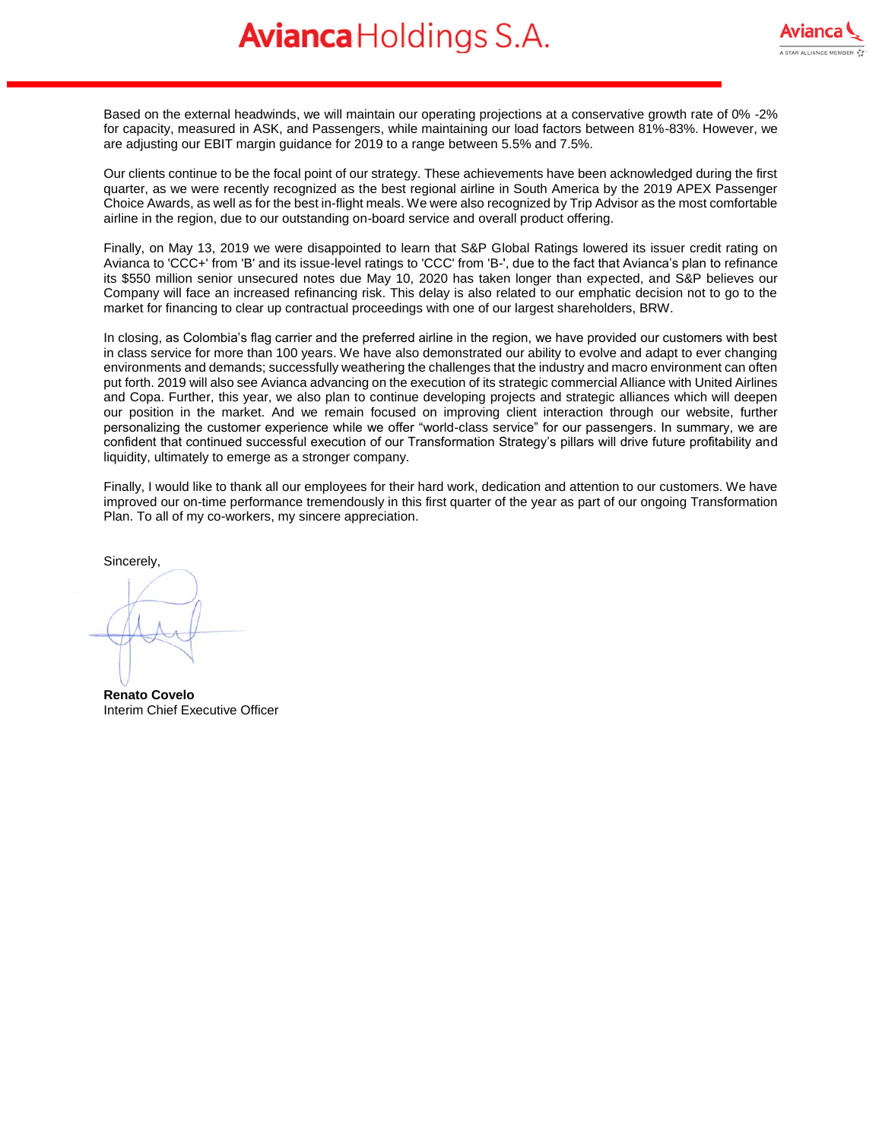Based on the external headwinds, we will maintain our operating projections at a conservative growth rate of 0% -2% for capacity, measured in ASK, and Passengers, while maintaining our load factors between 81%-83%. However, we are adjusting our EBIT margin guidance for 2019 to a range between 5.5% and 7.5%.

Our clients continue to be the focal point of our strategy. These achievements have been acknowledged during the first quarter, as we were recently recognized as the best regional airline in South America by the 2019 APEX Passenger Choice Awards, as well as for the best in-flight meals. We were also recognized by Trip Advisor as the most comfortable airline in the region, due to our outstanding on-board service and overall product offering.

Finally, on May 13, 2019 we were disappointed to learn that S&P Global Ratings lowered its issuer credit rating on Avianca to 'CCC+' from 'B' and its issue-level ratings to 'CCC' from 'B-', due to the fact that Avianca's plan to refinance its \$550 million senior unsecured notes due May 10, 2020 has taken longer than expected, and S&P believes our Company will face an increased refinancing risk. This delay is also related to our emphatic decision not to go to the market for financing to clear up contractual proceedings with one of our largest shareholders, BRW.

In closing, as Colombia's flag carrier and the preferred airline in the region, we have provided our customers with best in class service for more than 100 years. We have also demonstrated our ability to evolve and adapt to ever changing environments and demands; successfully weathering the challenges that the industry and macro environment can often put forth. 2019 will also see Avianca advancing on the execution of its strategic commercial Alliance with United Airlines and Copa. Further, this year, we also plan to continue developing projects and strategic alliances which will deepen our position in the market. And we remain focused on improving client interaction through our website, further personalizing the customer experience while we offer "world-class service" for our passengers. In summary, we are confident that continued successful execution of our Transformation Strategy's pillars will drive future profitability and liquidity, ultimately to emerge as a stronger company.

Finally, I would like to thank all our employees for their hard work, dedication and attention to our customers. We have improved our on-time performance tremendously in this first quarter of the year as part of our ongoing Transformation Plan. To all of my co-workers, my sincere appreciation.

Sincerely,

**Renato Covelo**  Interim Chief Executive Officer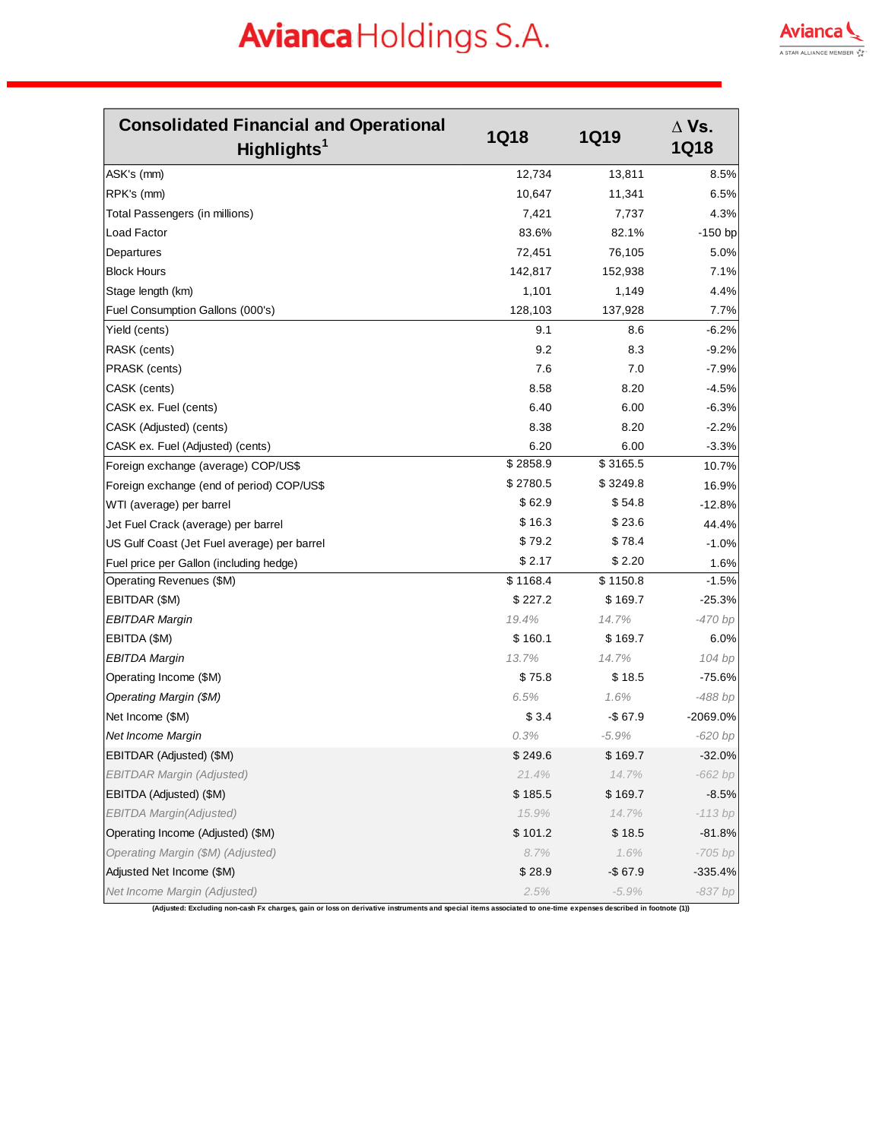

| ASK's (mm)<br>12,734<br>13,811<br> RPK's (mm)<br>10,647<br>11,341<br>Total Passengers (in millions)<br>7,421<br>7,737<br>Load Factor<br>83.6%<br>82.1%<br>Departures<br>72,451<br>76,105<br><b>Block Hours</b><br>142,817<br>152,938<br>Stage length (km)<br>1,101<br>1,149<br>128,103<br>Fuel Consumption Gallons (000's)<br>137,928<br>Yield (cents)<br>9.1<br>8.6<br>9.2<br>RASK (cents)<br>8.3<br>7.6<br><b>PRASK</b> (cents)<br>7.0<br>CASK (cents)<br>8.58<br>8.20<br>6.40<br>6.00<br>CASK ex. Fuel (cents)<br>8.38<br>8.20<br>CASK (Adjusted) (cents)<br>6.20<br>CASK ex. Fuel (Adjusted) (cents)<br>6.00<br>\$2858.9<br>\$3165.5<br>Foreign exchange (average) COP/US\$<br>\$2780.5<br>\$3249.8<br>Foreign exchange (end of period) COP/US\$<br>\$62.9<br>\$54.8<br>WTI (average) per barrel<br>\$16.3<br>\$23.6<br>Jet Fuel Crack (average) per barrel<br>\$79.2<br>\$78.4<br>US Gulf Coast (Jet Fuel average) per barrel<br>\$2.17<br>\$2.20<br>Fuel price per Gallon (including hedge)<br>\$1168.4<br>\$1150.8<br>Operating Revenues (\$M)<br>\$227.2<br>EBITDAR (\$M)<br>\$169.7<br>19.4%<br>14.7%<br><b>EBITDAR Margin</b><br>\$160.1<br>EBITDA (\$M)<br>\$169.7<br>13.7%<br>14.7%<br><b>EBITDA Margin</b><br>\$18.5<br>Operating Income (\$M)<br>\$75.8 | <b>Consolidated Financial and Operational</b><br>Highlights <sup>1</sup> | <b>1Q18</b> | <b>1Q19</b> | $\Delta$ Vs.<br><b>1Q18</b> |
|-----------------------------------------------------------------------------------------------------------------------------------------------------------------------------------------------------------------------------------------------------------------------------------------------------------------------------------------------------------------------------------------------------------------------------------------------------------------------------------------------------------------------------------------------------------------------------------------------------------------------------------------------------------------------------------------------------------------------------------------------------------------------------------------------------------------------------------------------------------------------------------------------------------------------------------------------------------------------------------------------------------------------------------------------------------------------------------------------------------------------------------------------------------------------------------------------------------------------------------------------------------------------|--------------------------------------------------------------------------|-------------|-------------|-----------------------------|
|                                                                                                                                                                                                                                                                                                                                                                                                                                                                                                                                                                                                                                                                                                                                                                                                                                                                                                                                                                                                                                                                                                                                                                                                                                                                       |                                                                          |             |             | 8.5%                        |
|                                                                                                                                                                                                                                                                                                                                                                                                                                                                                                                                                                                                                                                                                                                                                                                                                                                                                                                                                                                                                                                                                                                                                                                                                                                                       |                                                                          |             |             | 6.5%                        |
|                                                                                                                                                                                                                                                                                                                                                                                                                                                                                                                                                                                                                                                                                                                                                                                                                                                                                                                                                                                                                                                                                                                                                                                                                                                                       |                                                                          |             |             | 4.3%                        |
|                                                                                                                                                                                                                                                                                                                                                                                                                                                                                                                                                                                                                                                                                                                                                                                                                                                                                                                                                                                                                                                                                                                                                                                                                                                                       |                                                                          |             |             | $-150$ bp                   |
|                                                                                                                                                                                                                                                                                                                                                                                                                                                                                                                                                                                                                                                                                                                                                                                                                                                                                                                                                                                                                                                                                                                                                                                                                                                                       |                                                                          |             |             | 5.0%                        |
|                                                                                                                                                                                                                                                                                                                                                                                                                                                                                                                                                                                                                                                                                                                                                                                                                                                                                                                                                                                                                                                                                                                                                                                                                                                                       |                                                                          |             |             | 7.1%                        |
|                                                                                                                                                                                                                                                                                                                                                                                                                                                                                                                                                                                                                                                                                                                                                                                                                                                                                                                                                                                                                                                                                                                                                                                                                                                                       |                                                                          |             |             | 4.4%                        |
|                                                                                                                                                                                                                                                                                                                                                                                                                                                                                                                                                                                                                                                                                                                                                                                                                                                                                                                                                                                                                                                                                                                                                                                                                                                                       |                                                                          |             |             | 7.7%                        |
|                                                                                                                                                                                                                                                                                                                                                                                                                                                                                                                                                                                                                                                                                                                                                                                                                                                                                                                                                                                                                                                                                                                                                                                                                                                                       |                                                                          |             |             | -6.2%                       |
|                                                                                                                                                                                                                                                                                                                                                                                                                                                                                                                                                                                                                                                                                                                                                                                                                                                                                                                                                                                                                                                                                                                                                                                                                                                                       |                                                                          |             |             | $-9.2%$                     |
|                                                                                                                                                                                                                                                                                                                                                                                                                                                                                                                                                                                                                                                                                                                                                                                                                                                                                                                                                                                                                                                                                                                                                                                                                                                                       |                                                                          |             |             | $-7.9%$                     |
|                                                                                                                                                                                                                                                                                                                                                                                                                                                                                                                                                                                                                                                                                                                                                                                                                                                                                                                                                                                                                                                                                                                                                                                                                                                                       |                                                                          |             |             | $-4.5%$                     |
|                                                                                                                                                                                                                                                                                                                                                                                                                                                                                                                                                                                                                                                                                                                                                                                                                                                                                                                                                                                                                                                                                                                                                                                                                                                                       |                                                                          |             |             | $-6.3%$                     |
|                                                                                                                                                                                                                                                                                                                                                                                                                                                                                                                                                                                                                                                                                                                                                                                                                                                                                                                                                                                                                                                                                                                                                                                                                                                                       |                                                                          |             |             | $-2.2%$                     |
|                                                                                                                                                                                                                                                                                                                                                                                                                                                                                                                                                                                                                                                                                                                                                                                                                                                                                                                                                                                                                                                                                                                                                                                                                                                                       |                                                                          |             |             | $-3.3%$                     |
|                                                                                                                                                                                                                                                                                                                                                                                                                                                                                                                                                                                                                                                                                                                                                                                                                                                                                                                                                                                                                                                                                                                                                                                                                                                                       |                                                                          |             |             | 10.7%                       |
|                                                                                                                                                                                                                                                                                                                                                                                                                                                                                                                                                                                                                                                                                                                                                                                                                                                                                                                                                                                                                                                                                                                                                                                                                                                                       |                                                                          |             |             | 16.9%                       |
|                                                                                                                                                                                                                                                                                                                                                                                                                                                                                                                                                                                                                                                                                                                                                                                                                                                                                                                                                                                                                                                                                                                                                                                                                                                                       |                                                                          |             |             | $-12.8%$                    |
|                                                                                                                                                                                                                                                                                                                                                                                                                                                                                                                                                                                                                                                                                                                                                                                                                                                                                                                                                                                                                                                                                                                                                                                                                                                                       |                                                                          |             |             | 44.4%                       |
|                                                                                                                                                                                                                                                                                                                                                                                                                                                                                                                                                                                                                                                                                                                                                                                                                                                                                                                                                                                                                                                                                                                                                                                                                                                                       |                                                                          |             |             | $-1.0%$                     |
|                                                                                                                                                                                                                                                                                                                                                                                                                                                                                                                                                                                                                                                                                                                                                                                                                                                                                                                                                                                                                                                                                                                                                                                                                                                                       |                                                                          |             |             | 1.6%                        |
|                                                                                                                                                                                                                                                                                                                                                                                                                                                                                                                                                                                                                                                                                                                                                                                                                                                                                                                                                                                                                                                                                                                                                                                                                                                                       |                                                                          |             |             | $-1.5%$                     |
|                                                                                                                                                                                                                                                                                                                                                                                                                                                                                                                                                                                                                                                                                                                                                                                                                                                                                                                                                                                                                                                                                                                                                                                                                                                                       |                                                                          |             |             | $-25.3%$                    |
|                                                                                                                                                                                                                                                                                                                                                                                                                                                                                                                                                                                                                                                                                                                                                                                                                                                                                                                                                                                                                                                                                                                                                                                                                                                                       |                                                                          |             |             | -470 bp                     |
|                                                                                                                                                                                                                                                                                                                                                                                                                                                                                                                                                                                                                                                                                                                                                                                                                                                                                                                                                                                                                                                                                                                                                                                                                                                                       |                                                                          |             |             | 6.0%                        |
|                                                                                                                                                                                                                                                                                                                                                                                                                                                                                                                                                                                                                                                                                                                                                                                                                                                                                                                                                                                                                                                                                                                                                                                                                                                                       |                                                                          |             |             | 104 bp                      |
|                                                                                                                                                                                                                                                                                                                                                                                                                                                                                                                                                                                                                                                                                                                                                                                                                                                                                                                                                                                                                                                                                                                                                                                                                                                                       |                                                                          |             |             | $-75.6%$                    |
|                                                                                                                                                                                                                                                                                                                                                                                                                                                                                                                                                                                                                                                                                                                                                                                                                                                                                                                                                                                                                                                                                                                                                                                                                                                                       | Operating Margin (\$M)                                                   | 6.5%        | 1.6%        | -488 bp                     |
| \$3.4<br>Net Income (\$M)<br>$-$67.9$                                                                                                                                                                                                                                                                                                                                                                                                                                                                                                                                                                                                                                                                                                                                                                                                                                                                                                                                                                                                                                                                                                                                                                                                                                 |                                                                          |             |             | -2069.0%                    |
| 0.3%<br>$-5.9%$<br>Net Income Margin                                                                                                                                                                                                                                                                                                                                                                                                                                                                                                                                                                                                                                                                                                                                                                                                                                                                                                                                                                                                                                                                                                                                                                                                                                  |                                                                          |             |             | $-620$ bp                   |
| EBITDAR (Adjusted) (\$M)<br>\$249.6<br>\$169.7                                                                                                                                                                                                                                                                                                                                                                                                                                                                                                                                                                                                                                                                                                                                                                                                                                                                                                                                                                                                                                                                                                                                                                                                                        |                                                                          |             |             | $-32.0%$                    |
| <b>EBITDAR Margin (Adjusted)</b><br>21.4%<br>14.7%                                                                                                                                                                                                                                                                                                                                                                                                                                                                                                                                                                                                                                                                                                                                                                                                                                                                                                                                                                                                                                                                                                                                                                                                                    |                                                                          |             |             | -662 bp                     |
| EBITDA (Adjusted) (\$M)<br>\$185.5<br>\$169.7                                                                                                                                                                                                                                                                                                                                                                                                                                                                                                                                                                                                                                                                                                                                                                                                                                                                                                                                                                                                                                                                                                                                                                                                                         |                                                                          |             |             | $-8.5%$                     |
| <b>EBITDA Margin(Adjusted)</b><br>15.9%<br>14.7%                                                                                                                                                                                                                                                                                                                                                                                                                                                                                                                                                                                                                                                                                                                                                                                                                                                                                                                                                                                                                                                                                                                                                                                                                      |                                                                          |             |             | $-113 bp$                   |
| \$101.2<br>Operating Income (Adjusted) (\$M)<br>\$18.5                                                                                                                                                                                                                                                                                                                                                                                                                                                                                                                                                                                                                                                                                                                                                                                                                                                                                                                                                                                                                                                                                                                                                                                                                |                                                                          |             |             | $-81.8%$                    |
| Operating Margin (\$M) (Adjusted)<br>8.7%<br>1.6%                                                                                                                                                                                                                                                                                                                                                                                                                                                                                                                                                                                                                                                                                                                                                                                                                                                                                                                                                                                                                                                                                                                                                                                                                     |                                                                          |             |             | $-705$ bp                   |
| Adjusted Net Income (\$M)<br>\$28.9<br>$-$67.9$                                                                                                                                                                                                                                                                                                                                                                                                                                                                                                                                                                                                                                                                                                                                                                                                                                                                                                                                                                                                                                                                                                                                                                                                                       |                                                                          |             |             | $-335.4%$                   |
| Net Income Margin (Adjusted)<br>2.5%<br>$-5.9%$                                                                                                                                                                                                                                                                                                                                                                                                                                                                                                                                                                                                                                                                                                                                                                                                                                                                                                                                                                                                                                                                                                                                                                                                                       |                                                                          |             |             | -837 bp                     |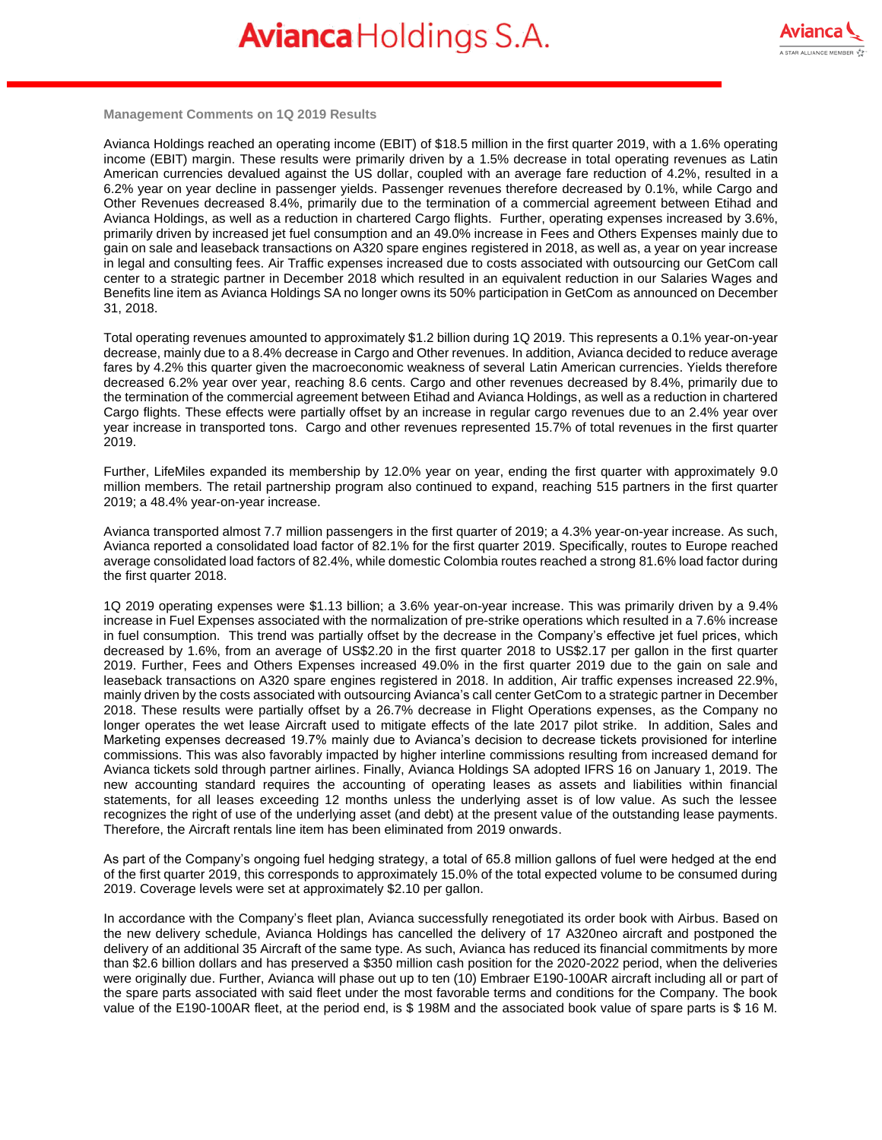

**Management Comments on 1Q 2019 Results**

Avianca Holdings reached an operating income (EBIT) of \$18.5 million in the first quarter 2019, with a 1.6% operating income (EBIT) margin. These results were primarily driven by a 1.5% decrease in total operating revenues as Latin American currencies devalued against the US dollar, coupled with an average fare reduction of 4.2%, resulted in a 6.2% year on year decline in passenger yields. Passenger revenues therefore decreased by 0.1%, while Cargo and Other Revenues decreased 8.4%, primarily due to the termination of a commercial agreement between Etihad and Avianca Holdings, as well as a reduction in chartered Cargo flights. Further, operating expenses increased by 3.6%, primarily driven by increased jet fuel consumption and an 49.0% increase in Fees and Others Expenses mainly due to gain on sale and leaseback transactions on A320 spare engines registered in 2018, as well as, a year on year increase in legal and consulting fees. Air Traffic expenses increased due to costs associated with outsourcing our GetCom call center to a strategic partner in December 2018 which resulted in an equivalent reduction in our Salaries Wages and Benefits line item as Avianca Holdings SA no longer owns its 50% participation in GetCom as announced on December 31, 2018.

Total operating revenues amounted to approximately \$1.2 billion during 1Q 2019. This represents a 0.1% year-on-year decrease, mainly due to a 8.4% decrease in Cargo and Other revenues. In addition, Avianca decided to reduce average fares by 4.2% this quarter given the macroeconomic weakness of several Latin American currencies. Yields therefore decreased 6.2% year over year, reaching 8.6 cents. Cargo and other revenues decreased by 8.4%, primarily due to the termination of the commercial agreement between Etihad and Avianca Holdings, as well as a reduction in chartered Cargo flights. These effects were partially offset by an increase in regular cargo revenues due to an 2.4% year over year increase in transported tons. Cargo and other revenues represented 15.7% of total revenues in the first quarter 2019.

Further, LifeMiles expanded its membership by 12.0% year on year, ending the first quarter with approximately 9.0 million members. The retail partnership program also continued to expand, reaching 515 partners in the first quarter 2019; a 48.4% year-on-year increase.

Avianca transported almost 7.7 million passengers in the first quarter of 2019; a 4.3% year-on-year increase. As such, Avianca reported a consolidated load factor of 82.1% for the first quarter 2019. Specifically, routes to Europe reached average consolidated load factors of 82.4%, while domestic Colombia routes reached a strong 81.6% load factor during the first quarter 2018.

1Q 2019 operating expenses were \$1.13 billion; a 3.6% year-on-year increase. This was primarily driven by a 9.4% increase in Fuel Expenses associated with the normalization of pre-strike operations which resulted in a 7.6% increase in fuel consumption. This trend was partially offset by the decrease in the Company's effective jet fuel prices, which decreased by 1.6%, from an average of US\$2.20 in the first quarter 2018 to US\$2.17 per gallon in the first quarter 2019. Further, Fees and Others Expenses increased 49.0% in the first quarter 2019 due to the gain on sale and leaseback transactions on A320 spare engines registered in 2018. In addition, Air traffic expenses increased 22.9%, mainly driven by the costs associated with outsourcing Avianca's call center GetCom to a strategic partner in December 2018. These results were partially offset by a 26.7% decrease in Flight Operations expenses, as the Company no longer operates the wet lease Aircraft used to mitigate effects of the late 2017 pilot strike. In addition, Sales and Marketing expenses decreased 19.7% mainly due to Avianca's decision to decrease tickets provisioned for interline commissions. This was also favorably impacted by higher interline commissions resulting from increased demand for Avianca tickets sold through partner airlines. Finally, Avianca Holdings SA adopted IFRS 16 on January 1, 2019. The new accounting standard requires the accounting of operating leases as assets and liabilities within financial statements, for all leases exceeding 12 months unless the underlying asset is of low value. As such the lessee recognizes the right of use of the underlying asset (and debt) at the present value of the outstanding lease payments. Therefore, the Aircraft rentals line item has been eliminated from 2019 onwards.

As part of the Company's ongoing fuel hedging strategy, a total of 65.8 million gallons of fuel were hedged at the end of the first quarter 2019, this corresponds to approximately 15.0% of the total expected volume to be consumed during 2019. Coverage levels were set at approximately \$2.10 per gallon.

In accordance with the Company's fleet plan, Avianca successfully renegotiated its order book with Airbus. Based on the new delivery schedule, Avianca Holdings has cancelled the delivery of 17 A320neo aircraft and postponed the delivery of an additional 35 Aircraft of the same type. As such, Avianca has reduced its financial commitments by more than \$2.6 billion dollars and has preserved a \$350 million cash position for the 2020-2022 period, when the deliveries were originally due. Further, Avianca will phase out up to ten (10) Embraer E190-100AR aircraft including all or part of the spare parts associated with said fleet under the most favorable terms and conditions for the Company. The book value of the E190-100AR fleet, at the period end, is \$ 198M and the associated book value of spare parts is \$ 16 M.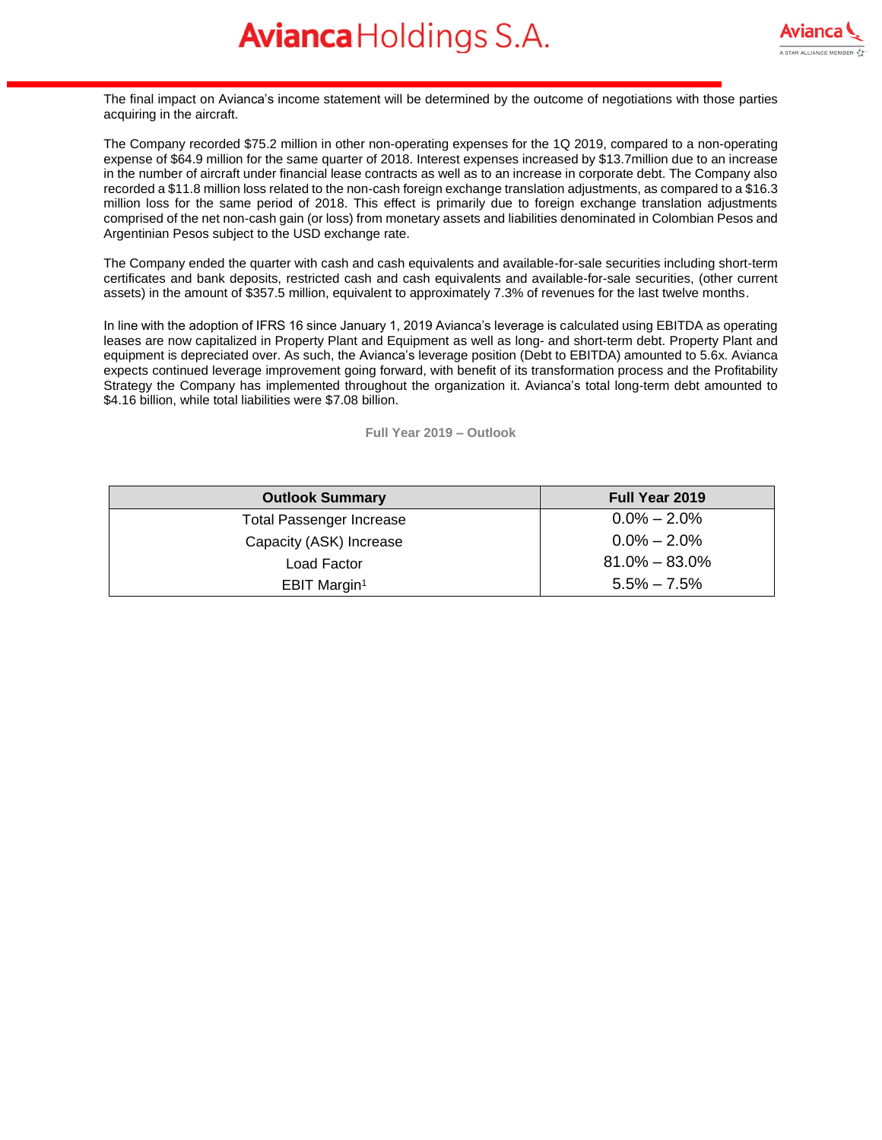The final impact on Avianca's income statement will be determined by the outcome of negotiations with those parties acquiring in the aircraft.

The Company recorded \$75.2 million in other non-operating expenses for the 1Q 2019, compared to a non-operating expense of \$64.9 million for the same quarter of 2018. Interest expenses increased by \$13.7million due to an increase in the number of aircraft under financial lease contracts as well as to an increase in corporate debt. The Company also recorded a \$11.8 million loss related to the non-cash foreign exchange translation adjustments, as compared to a \$16.3 million loss for the same period of 2018. This effect is primarily due to foreign exchange translation adjustments comprised of the net non-cash gain (or loss) from monetary assets and liabilities denominated in Colombian Pesos and Argentinian Pesos subject to the USD exchange rate.

The Company ended the quarter with cash and cash equivalents and available-for-sale securities including short-term certificates and bank deposits, restricted cash and cash equivalents and available-for-sale securities, (other current assets) in the amount of \$357.5 million, equivalent to approximately 7.3% of revenues for the last twelve months.

In line with the adoption of IFRS 16 since January 1, 2019 Avianca's leverage is calculated using EBITDA as operating leases are now capitalized in Property Plant and Equipment as well as long- and short-term debt. Property Plant and equipment is depreciated over. As such, the Avianca's leverage position (Debt to EBITDA) amounted to 5.6x. Avianca expects continued leverage improvement going forward, with benefit of its transformation process and the Profitability Strategy the Company has implemented throughout the organization it. Avianca's total long-term debt amounted to \$4.16 billion, while total liabilities were \$7.08 billion.

**Full Year 2019 – Outlook**

| <b>Outlook Summary</b>          | <b>Full Year 2019</b> |
|---------------------------------|-----------------------|
| <b>Total Passenger Increase</b> | $0.0\% - 2.0\%$       |
| Capacity (ASK) Increase         | $0.0\% - 2.0\%$       |
| Load Factor                     | $81.0\% - 83.0\%$     |
| EBIT Margin <sup>1</sup>        | $5.5\% - 7.5\%$       |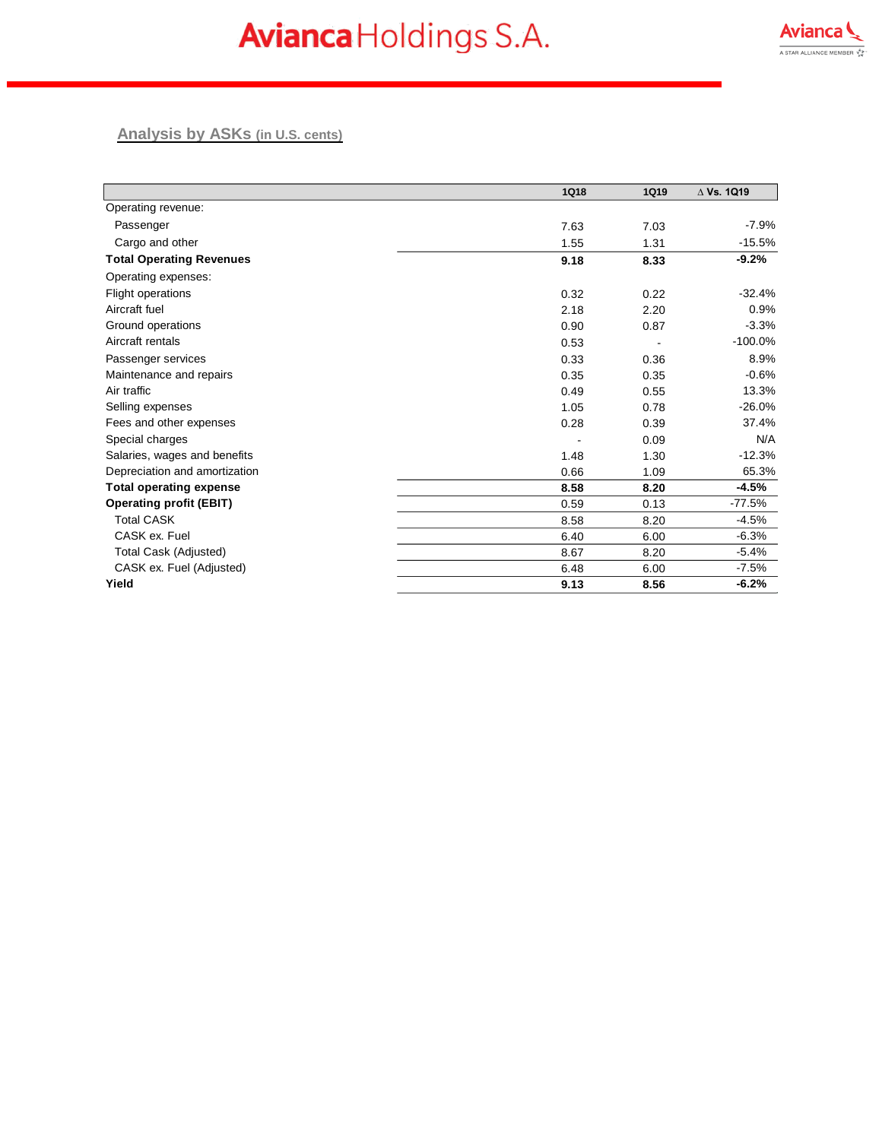

#### **Analysis by ASKs (in U.S. cents)**

|                                 | <b>1Q18</b> | <b>1Q19</b> | $\Delta$ Vs. 1Q19 |
|---------------------------------|-------------|-------------|-------------------|
| Operating revenue:              |             |             |                   |
| Passenger                       | 7.63        | 7.03        | $-7.9%$           |
| Cargo and other                 | 1.55        | 1.31        | $-15.5%$          |
| <b>Total Operating Revenues</b> | 9.18        | 8.33        | $-9.2%$           |
| Operating expenses:             |             |             |                   |
| <b>Flight operations</b>        | 0.32        | 0.22        | $-32.4%$          |
| Aircraft fuel                   | 2.18        | 2.20        | 0.9%              |
| Ground operations               | 0.90        | 0.87        | $-3.3%$           |
| Aircraft rentals                | 0.53        |             | $-100.0%$         |
| Passenger services              | 0.33        | 0.36        | 8.9%              |
| Maintenance and repairs         | 0.35        | 0.35        | $-0.6%$           |
| Air traffic                     | 0.49        | 0.55        | 13.3%             |
| Selling expenses                | 1.05        | 0.78        | $-26.0%$          |
| Fees and other expenses         | 0.28        | 0.39        | 37.4%             |
| Special charges                 |             | 0.09        | N/A               |
| Salaries, wages and benefits    | 1.48        | 1.30        | $-12.3%$          |
| Depreciation and amortization   | 0.66        | 1.09        | 65.3%             |
| <b>Total operating expense</b>  | 8.58        | 8.20        | $-4.5%$           |
| <b>Operating profit (EBIT)</b>  | 0.59        | 0.13        | $-77.5%$          |
| <b>Total CASK</b>               | 8.58        | 8.20        | $-4.5%$           |
| CASK ex. Fuel                   | 6.40        | 6.00        | $-6.3%$           |
| Total Cask (Adjusted)           | 8.67        | 8.20        | $-5.4%$           |
| CASK ex. Fuel (Adjusted)        | 6.48        | 6.00        | $-7.5%$           |
| Yield                           | 9.13        | 8.56        | $-6.2%$           |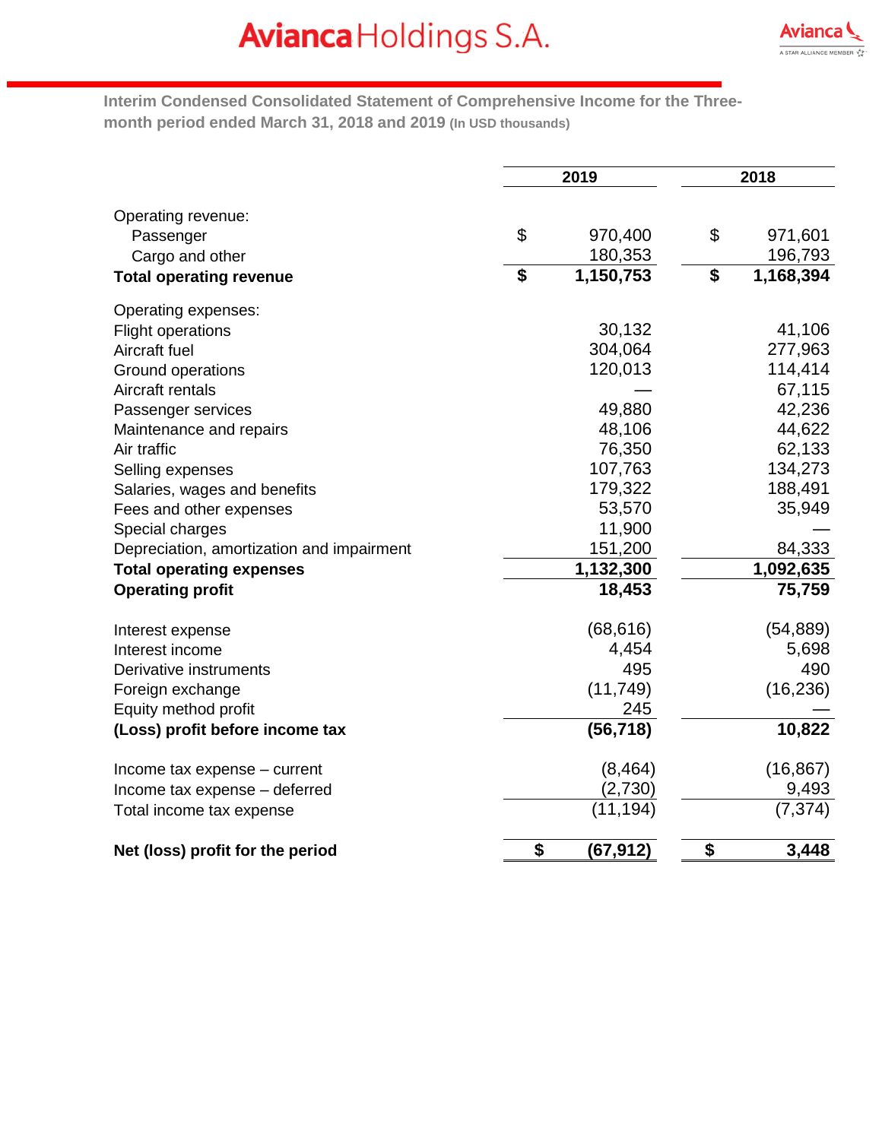

**Interim Condensed Consolidated Statement of Comprehensive Income for the Threemonth period ended March 31, 2018 and 2019 (In USD thousands)**

|                                           | 2019            | 2018            |
|-------------------------------------------|-----------------|-----------------|
| Operating revenue:                        |                 |                 |
| Passenger                                 | \$<br>970,400   | \$<br>971,601   |
| Cargo and other                           | 180,353         | 196,793         |
| <b>Total operating revenue</b>            | \$<br>1,150,753 | \$<br>1,168,394 |
| Operating expenses:                       |                 |                 |
| <b>Flight operations</b>                  | 30,132          | 41,106          |
| Aircraft fuel                             | 304,064         | 277,963         |
| Ground operations                         | 120,013         | 114,414         |
| Aircraft rentals                          |                 | 67,115          |
| Passenger services                        | 49,880          | 42,236          |
| Maintenance and repairs                   | 48,106          | 44,622          |
| Air traffic                               | 76,350          | 62,133          |
| Selling expenses                          | 107,763         | 134,273         |
| Salaries, wages and benefits              | 179,322         | 188,491         |
| Fees and other expenses                   | 53,570          | 35,949          |
| Special charges                           | 11,900          |                 |
| Depreciation, amortization and impairment | 151,200         | 84,333          |
| <b>Total operating expenses</b>           | 1,132,300       | 1,092,635       |
| <b>Operating profit</b>                   | 18,453          | 75,759          |
| Interest expense                          | (68, 616)       | (54, 889)       |
| Interest income                           | 4,454           | 5,698           |
| Derivative instruments                    | 495             | 490             |
| Foreign exchange                          | (11, 749)       | (16, 236)       |
| Equity method profit                      | 245             |                 |
| (Loss) profit before income tax           | (56, 718)       | 10,822          |
| Income tax expense - current              | (8, 464)        | (16, 867)       |
| Income tax expense - deferred             | (2,730)         | 9,493           |
| Total income tax expense                  | (11, 194)       | (7, 374)        |
| Net (loss) profit for the period          | \$<br>(67, 912) | \$<br>3,448     |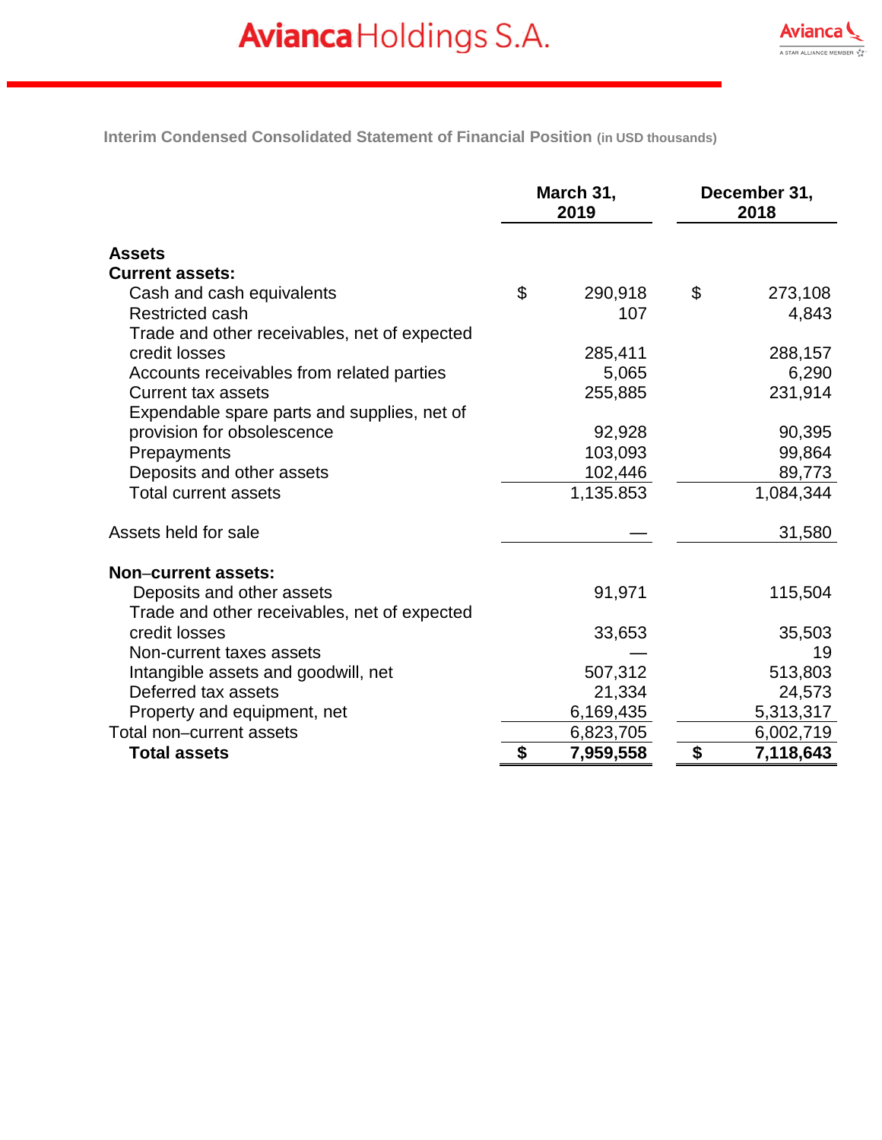**Interim Condensed Consolidated Statement of Financial Position (in USD thousands)**

|                                              | March 31,<br>2019 |           | December 31,<br>2018 |           |
|----------------------------------------------|-------------------|-----------|----------------------|-----------|
| <b>Assets</b>                                |                   |           |                      |           |
| <b>Current assets:</b>                       |                   |           |                      |           |
| Cash and cash equivalents                    | \$                | 290,918   | \$                   | 273,108   |
| <b>Restricted cash</b>                       |                   | 107       |                      | 4,843     |
| Trade and other receivables, net of expected |                   |           |                      |           |
| credit losses                                |                   | 285,411   |                      | 288,157   |
| Accounts receivables from related parties    |                   | 5,065     |                      | 6,290     |
| <b>Current tax assets</b>                    |                   | 255,885   |                      | 231,914   |
| Expendable spare parts and supplies, net of  |                   |           |                      |           |
| provision for obsolescence                   |                   | 92,928    |                      | 90,395    |
| Prepayments                                  |                   | 103,093   |                      | 99,864    |
| Deposits and other assets                    |                   | 102,446   |                      | 89,773    |
| <b>Total current assets</b>                  |                   | 1,135.853 |                      | 1,084,344 |
| Assets held for sale                         |                   |           |                      | 31,580    |
| Non-current assets:                          |                   |           |                      |           |
| Deposits and other assets                    |                   | 91,971    |                      | 115,504   |
| Trade and other receivables, net of expected |                   |           |                      |           |
| credit losses                                |                   | 33,653    |                      | 35,503    |
| Non-current taxes assets                     |                   |           |                      | 19        |
| Intangible assets and goodwill, net          |                   | 507,312   |                      | 513,803   |
| Deferred tax assets                          |                   | 21,334    |                      | 24,573    |
| Property and equipment, net                  |                   | 6,169,435 |                      | 5,313,317 |
| Total non-current assets                     |                   | 6,823,705 |                      | 6,002,719 |
| <b>Total assets</b>                          | \$                | 7,959,558 | \$                   | 7,118,643 |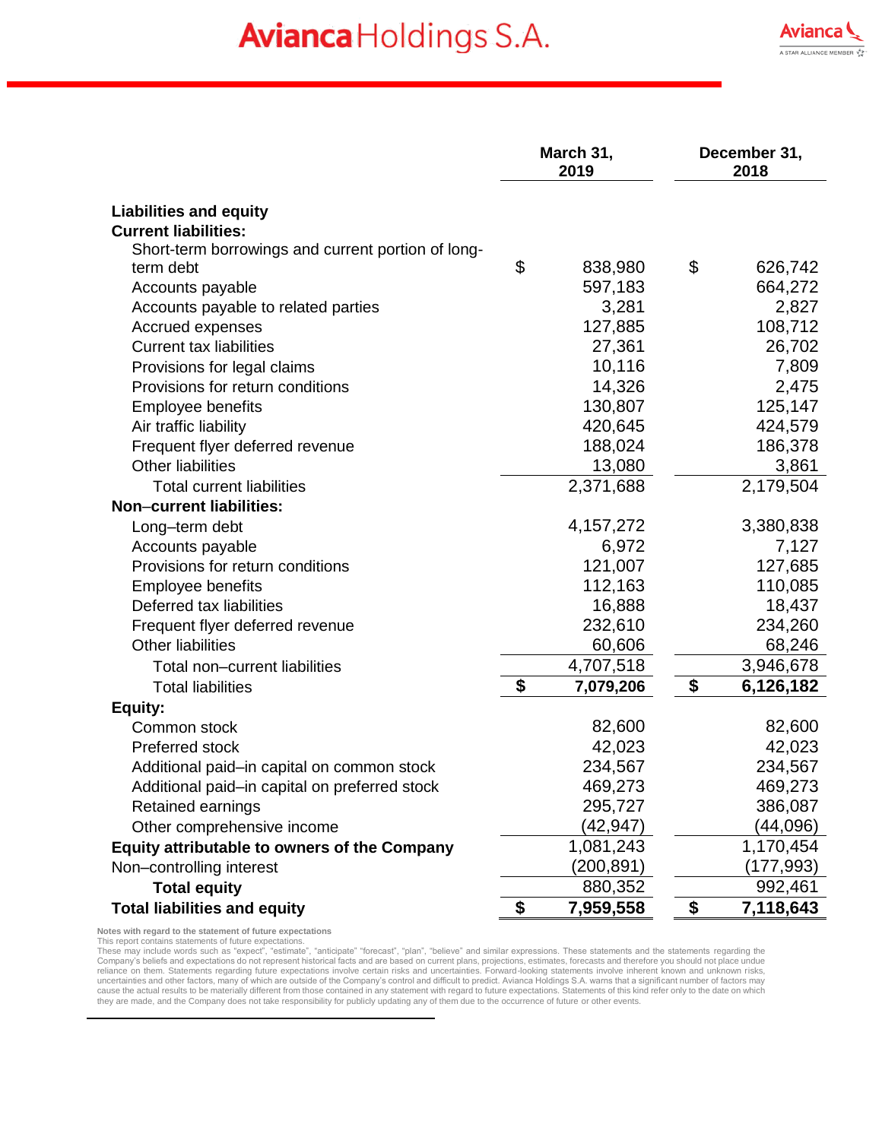|                                                    | March 31,<br>2019 | December 31,<br>2018 |
|----------------------------------------------------|-------------------|----------------------|
| <b>Liabilities and equity</b>                      |                   |                      |
| <b>Current liabilities:</b>                        |                   |                      |
| Short-term borrowings and current portion of long- |                   |                      |
| term debt                                          | \$<br>838,980     | \$<br>626,742        |
| Accounts payable                                   | 597,183           | 664,272              |
| Accounts payable to related parties                | 3,281             | 2,827                |
| Accrued expenses                                   | 127,885           | 108,712              |
| <b>Current tax liabilities</b>                     | 27,361            | 26,702               |
| Provisions for legal claims                        | 10,116            | 7,809                |
| Provisions for return conditions                   | 14,326            | 2,475                |
| <b>Employee benefits</b>                           | 130,807           | 125,147              |
| Air traffic liability                              | 420,645           | 424,579              |
| Frequent flyer deferred revenue                    | 188,024           | 186,378              |
| <b>Other liabilities</b>                           | 13,080            | 3,861                |
| <b>Total current liabilities</b>                   | 2,371,688         | 2,179,504            |
| Non-current liabilities:                           |                   |                      |
| Long-term debt                                     | 4, 157, 272       | 3,380,838            |
| Accounts payable                                   | 6,972             | 7,127                |
| Provisions for return conditions                   | 121,007           | 127,685              |
| <b>Employee benefits</b>                           | 112,163           | 110,085              |
| Deferred tax liabilities                           | 16,888            | 18,437               |
| Frequent flyer deferred revenue                    | 232,610           | 234,260              |
| <b>Other liabilities</b>                           | 60,606            | 68,246               |
| Total non-current liabilities                      | 4,707,518         | 3,946,678            |
| <b>Total liabilities</b>                           | \$<br>7,079,206   | \$<br>6,126,182      |
| Equity:                                            |                   |                      |
| Common stock                                       | 82,600            | 82,600               |
| Preferred stock                                    | 42,023            | 42,023               |
| Additional paid-in capital on common stock         | 234,567           | 234,567              |
| Additional paid-in capital on preferred stock      | 469,273           | 469,273              |
| Retained earnings                                  | 295,727           | 386,087              |
| Other comprehensive income                         | (42,947)          | (44,096)             |
| Equity attributable to owners of the Company       | 1,081,243         | 1,170,454            |
| Non-controlling interest                           | (200, 891)        | (177, 993)           |
| <b>Total equity</b>                                | 880,352           | 992,461              |
| <b>Total liabilities and equity</b>                | \$<br>7,959,558   | \$<br>7,118,643      |

**Notes with regard to the statement of future expectations**

This report contains statements of future expectations.<br>These may include words such as "expect", "estimate" "forecast", "plan", "believe" and similar expressions. These statements and the statements regarding the<br>These ma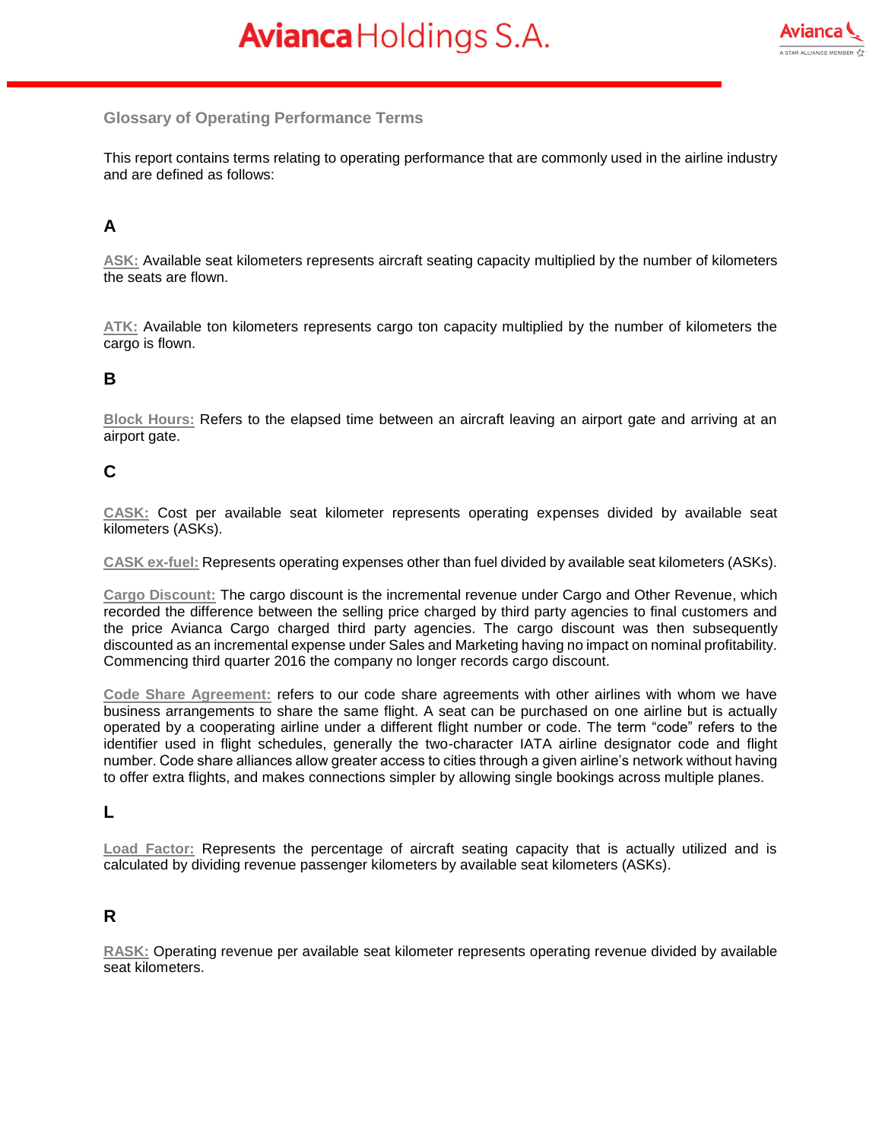

#### **Glossary of Operating Performance Terms**

This report contains terms relating to operating performance that are commonly used in the airline industry and are defined as follows:

### **A**

**ASK:** Available seat kilometers represents aircraft seating capacity multiplied by the number of kilometers the seats are flown.

**ATK:** Available ton kilometers represents cargo ton capacity multiplied by the number of kilometers the cargo is flown.

### **B**

**Block Hours:** Refers to the elapsed time between an aircraft leaving an airport gate and arriving at an airport gate.

### **C**

**CASK:** Cost per available seat kilometer represents operating expenses divided by available seat kilometers (ASKs).

**CASK ex-fuel:** Represents operating expenses other than fuel divided by available seat kilometers (ASKs).

**Cargo Discount:** The cargo discount is the incremental revenue under Cargo and Other Revenue, which recorded the difference between the selling price charged by third party agencies to final customers and the price Avianca Cargo charged third party agencies. The cargo discount was then subsequently discounted as an incremental expense under Sales and Marketing having no impact on nominal profitability. Commencing third quarter 2016 the company no longer records cargo discount.

**Code Share Agreement:** refers to our code share agreements with other airlines with whom we have business arrangements to share the same flight. A seat can be purchased on one airline but is actually operated by a cooperating airline under a different flight number or code. The term "code" refers to the identifier used in flight schedules, generally the two-character IATA airline designator code and flight number. Code share alliances allow greater access to cities through a given airline's network without having to offer extra flights, and makes connections simpler by allowing single bookings across multiple planes.

### **L**

**Load Factor:** Represents the percentage of aircraft seating capacity that is actually utilized and is calculated by dividing revenue passenger kilometers by available seat kilometers (ASKs).

### **R**

**RASK:** Operating revenue per available seat kilometer represents operating revenue divided by available seat kilometers.